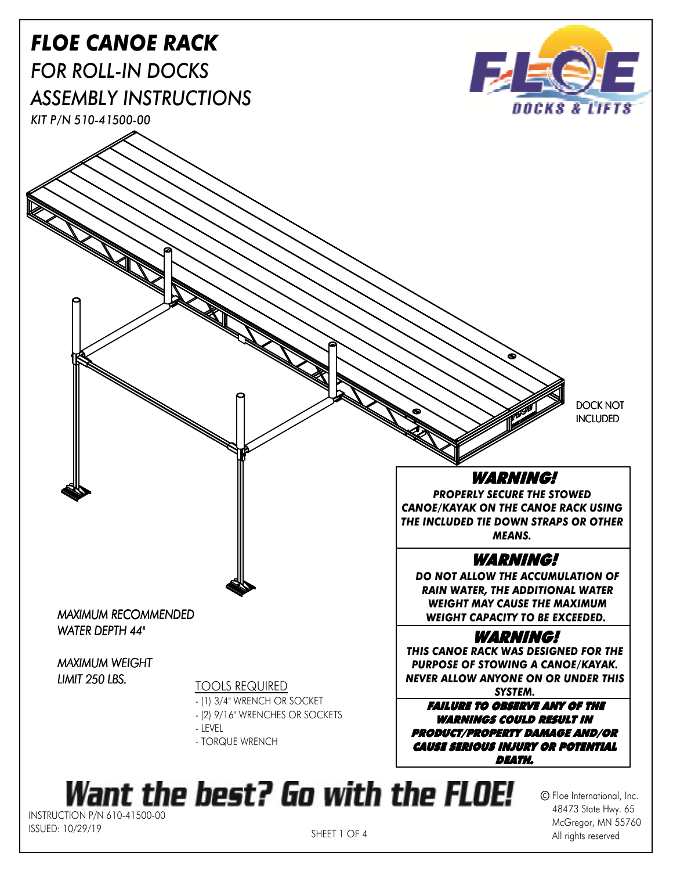

SHEET 1 OF 4

McGregor, MN 55760 All rights reserved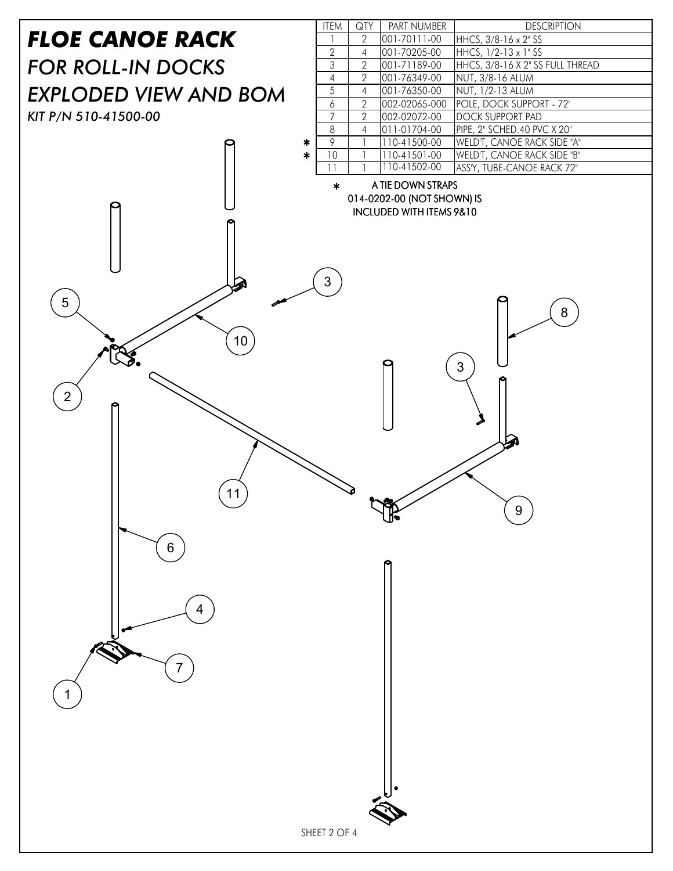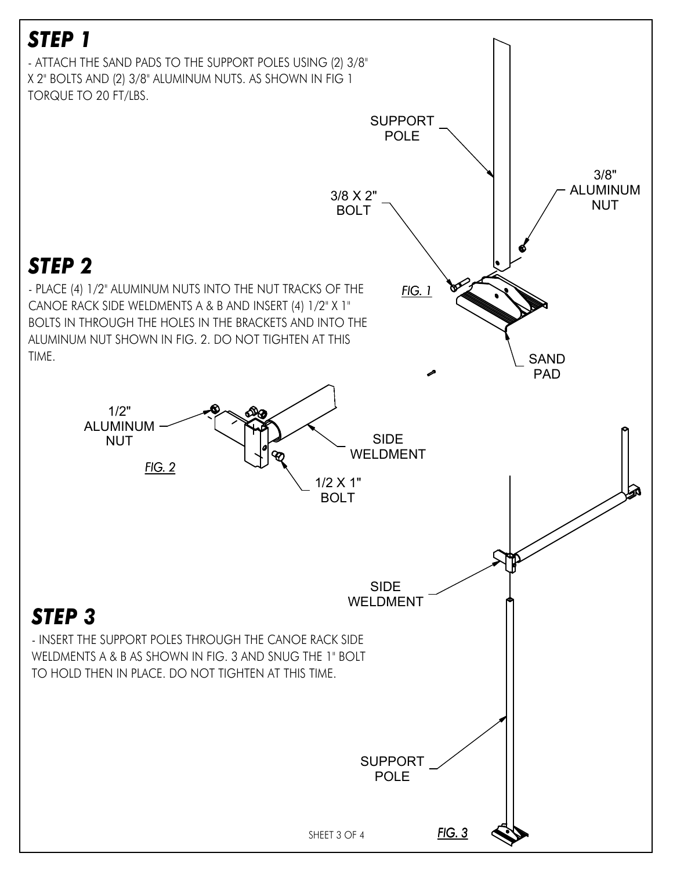